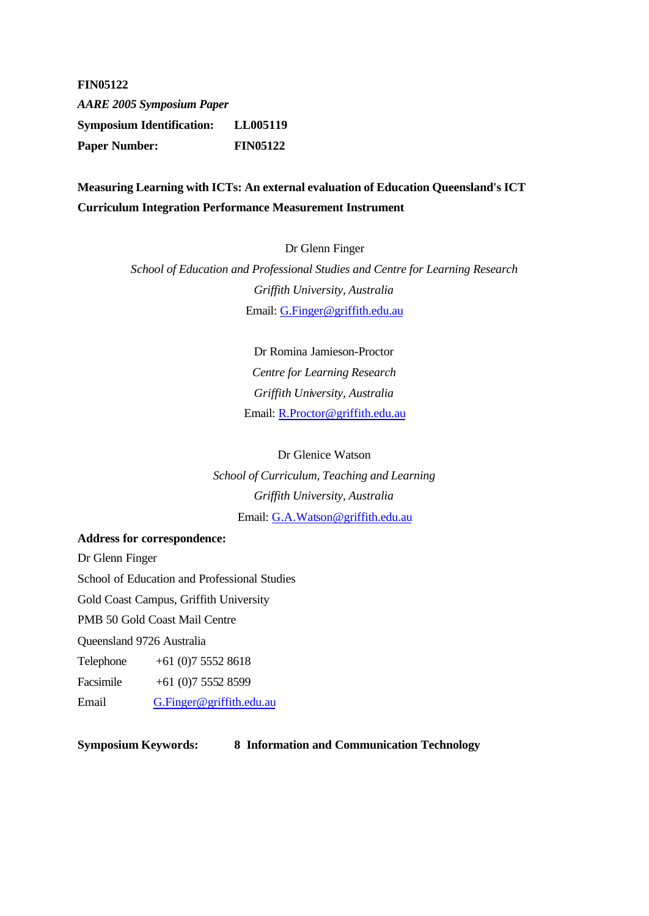**FIN05122** *AARE 2005 Symposium Paper* **Symposium Identification: LL005119** Paper Number: FIN05122

# **Measuring Learning with ICTs: An external evaluation of Education Queensland's ICT Curriculum Integration Performance Measurement Instrument**

Dr Glenn Finger

*School of Education and Professional Studies and Centre for Learning Research Griffith University, Australia* Email: G.Finger@griffith.edu.au

> Dr Romina Jamieson-Proctor *Centre for Learning Research Griffith University, Australia* Email: R.Proctor@griffith.edu.au

Dr Glenice Watson *School of Curriculum, Teaching and Learning Griffith University, Australia* Email: G.A.Watson@griffith.edu.au

## **Address for correspondence:**

Dr Glenn Finger

School of Education and Professional Studies

Gold Coast Campus, Griffith University

PMB 50 Gold Coast Mail Centre

Queensland 9726 Australia

Telephone +61 (0)7 5552 8618

Facsimile +61 (0)7 5552 8599

Email G.Finger@griffith.edu.au

**Symposium Keywords: 8 Information and Communication Technology**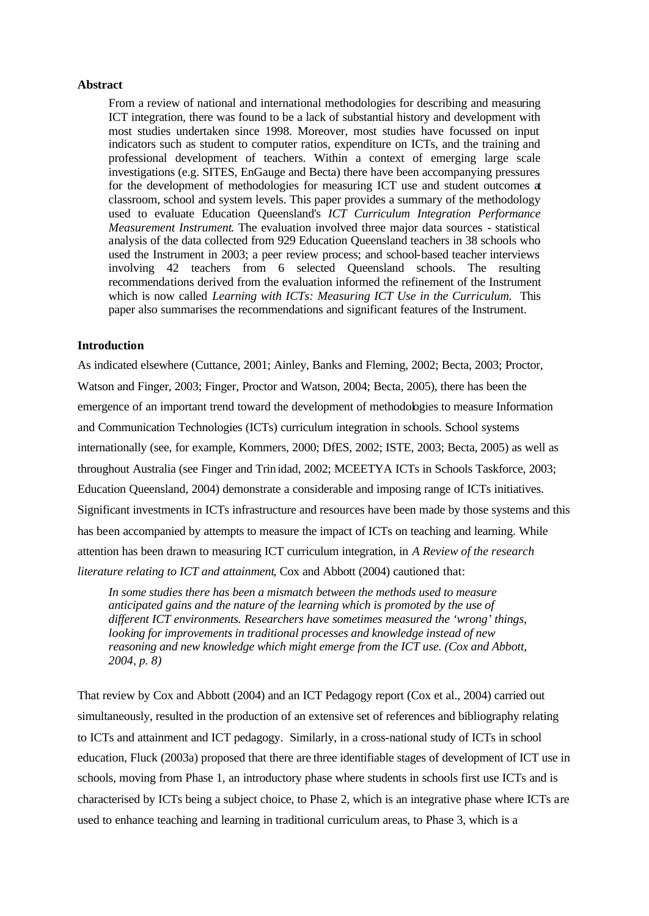#### **Abstract**

From a review of national and international methodologies for describing and measuring ICT integration, there was found to be a lack of substantial history and development with most studies undertaken since 1998. Moreover, most studies have focussed on input indicators such as student to computer ratios, expenditure on ICTs, and the training and professional development of teachers. Within a context of emerging large scale investigations (e.g. SITES, EnGauge and Becta) there have been accompanying pressures for the development of methodologies for measuring ICT use and student outcomes at classroom, school and system levels. This paper provides a summary of the methodology used to evaluate Education Queensland's *ICT Curriculum Integration Performance Measurement Instrument*. The evaluation involved three major data sources - statistical analysis of the data collected from 929 Education Queensland teachers in 38 schools who used the Instrument in 2003; a peer review process; and school-based teacher interviews involving 42 teachers from 6 selected Queensland schools. The resulting recommendations derived from the evaluation informed the refinement of the Instrument which is now called *Learning with ICTs: Measuring ICT Use in the Curriculum.* This paper also summarises the recommendations and significant features of the Instrument.

## **Introduction**

As indicated elsewhere (Cuttance, 2001; Ainley, Banks and Fleming, 2002; Becta, 2003; Proctor, Watson and Finger, 2003; Finger, Proctor and Watson, 2004; Becta, 2005), there has been the emergence of an important trend toward the development of methodologies to measure Information and Communication Technologies (ICTs) curriculum integration in schools. School systems internationally (see, for example, Kommers, 2000; DfES, 2002; ISTE, 2003; Becta, 2005) as well as throughout Australia (see Finger and Trinidad, 2002; MCEETYA ICTs in Schools Taskforce, 2003; Education Queensland, 2004) demonstrate a considerable and imposing range of ICTs initiatives. Significant investments in ICTs infrastructure and resources have been made by those systems and this has been accompanied by attempts to measure the impact of ICTs on teaching and learning. While attention has been drawn to measuring ICT curriculum integration, in *A Review of the research literature relating to ICT and attainment*, Cox and Abbott (2004) cautioned that:

*In some studies there has been a mismatch between the methods used to measure anticipated gains and the nature of the learning which is promoted by the use of different ICT environments. Researchers have sometimes measured the 'wrong' things, looking for improvements in traditional processes and knowledge instead of new reasoning and new knowledge which might emerge from the ICT use. (Cox and Abbott, 2004, p. 8)*

That review by Cox and Abbott (2004) and an ICT Pedagogy report (Cox et al., 2004) carried out simultaneously, resulted in the production of an extensive set of references and bibliography relating to ICTs and attainment and ICT pedagogy. Similarly, in a cross-national study of ICTs in school education, Fluck (2003a) proposed that there are three identifiable stages of development of ICT use in schools, moving from Phase 1, an introductory phase where students in schools first use ICTs and is characterised by ICTs being a subject choice, to Phase 2, which is an integrative phase where ICTs are used to enhance teaching and learning in traditional curriculum areas, to Phase 3, which is a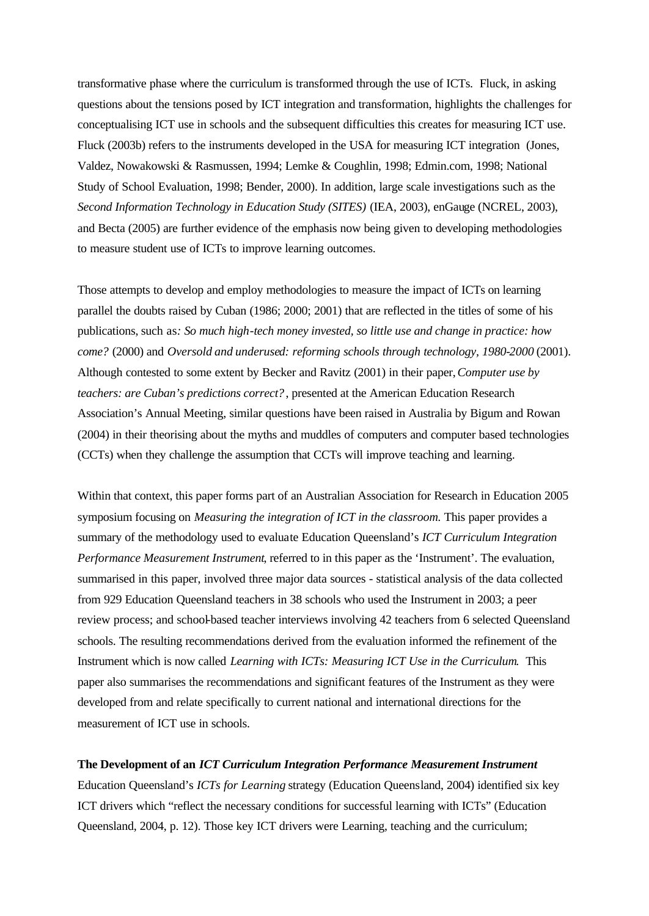transformative phase where the curriculum is transformed through the use of ICTs. Fluck, in asking questions about the tensions posed by ICT integration and transformation, highlights the challenges for conceptualising ICT use in schools and the subsequent difficulties this creates for measuring ICT use. Fluck (2003b) refers to the instruments developed in the USA for measuring ICT integration (Jones, Valdez, Nowakowski & Rasmussen, 1994; Lemke & Coughlin, 1998; Edmin.com, 1998; National Study of School Evaluation, 1998; Bender, 2000). In addition, large scale investigations such as the *Second Information Technology in Education Study (SITES)* (IEA, 2003), enGauge (NCREL, 2003), and Becta (2005) are further evidence of the emphasis now being given to developing methodologies to measure student use of ICTs to improve learning outcomes.

Those attempts to develop and employ methodologies to measure the impact of ICTs on learning parallel the doubts raised by Cuban (1986; 2000; 2001) that are reflected in the titles of some of his publications, such as*: So much high-tech money invested, so little use and change in practice: how come?* (2000) and *Oversold and underused: reforming schools through technology, 1980-2000* (2001). Although contested to some extent by Becker and Ravitz (2001) in their paper, *Computer use by teachers: are Cuban's predictions correct?*, presented at the American Education Research Association's Annual Meeting, similar questions have been raised in Australia by Bigum and Rowan (2004) in their theorising about the myths and muddles of computers and computer based technologies (CCTs) when they challenge the assumption that CCTs will improve teaching and learning.

Within that context, this paper forms part of an Australian Association for Research in Education 2005 symposium focusing on *Measuring the integration of ICT in the classroom*. This paper provides a summary of the methodology used to evaluate Education Queensland's *ICT Curriculum Integration Performance Measurement Instrument*, referred to in this paper as the 'Instrument'. The evaluation, summarised in this paper, involved three major data sources - statistical analysis of the data collected from 929 Education Queensland teachers in 38 schools who used the Instrument in 2003; a peer review process; and school-based teacher interviews involving 42 teachers from 6 selected Queensland schools. The resulting recommendations derived from the evaluation informed the refinement of the Instrument which is now called *Learning with ICTs: Measuring ICT Use in the Curriculum*. This paper also summarises the recommendations and significant features of the Instrument as they were developed from and relate specifically to current national and international directions for the measurement of ICT use in schools.

#### **The Development of an** *ICT Curriculum Integration Performance Measurement Instrument*

Education Queensland's *ICTs for Learning* strategy (Education Queensland, 2004) identified six key ICT drivers which "reflect the necessary conditions for successful learning with ICTs" (Education Queensland, 2004, p. 12). Those key ICT drivers were Learning, teaching and the curriculum;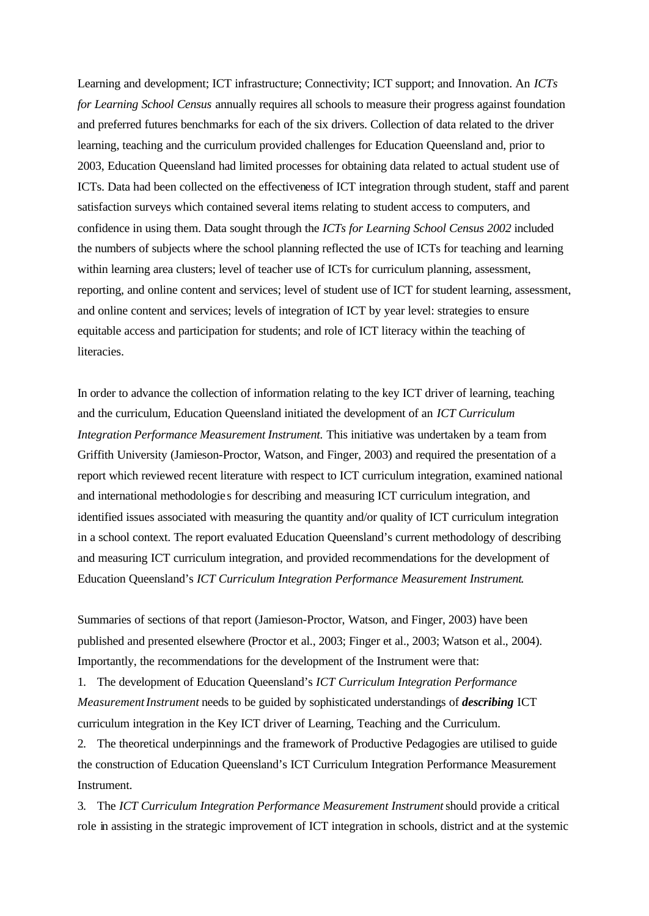Learning and development; ICT infrastructure; Connectivity; ICT support; and Innovation. An *ICTs for Learning School Census* annually requires all schools to measure their progress against foundation and preferred futures benchmarks for each of the six drivers. Collection of data related to the driver learning, teaching and the curriculum provided challenges for Education Queensland and, prior to 2003, Education Queensland had limited processes for obtaining data related to actual student use of ICTs. Data had been collected on the effectiveness of ICT integration through student, staff and parent satisfaction surveys which contained several items relating to student access to computers, and confidence in using them. Data sought through the *ICTs for Learning School Census 2002* included the numbers of subjects where the school planning reflected the use of ICTs for teaching and learning within learning area clusters; level of teacher use of ICTs for curriculum planning, assessment, reporting, and online content and services; level of student use of ICT for student learning, assessment, and online content and services; levels of integration of ICT by year level: strategies to ensure equitable access and participation for students; and role of ICT literacy within the teaching of literacies.

In order to advance the collection of information relating to the key ICT driver of learning, teaching and the curriculum, Education Queensland initiated the development of an *ICT Curriculum Integration Performance Measurement Instrument.* This initiative was undertaken by a team from Griffith University (Jamieson-Proctor, Watson, and Finger, 2003) and required the presentation of a report which reviewed recent literature with respect to ICT curriculum integration, examined national and international methodologie s for describing and measuring ICT curriculum integration, and identified issues associated with measuring the quantity and/or quality of ICT curriculum integration in a school context. The report evaluated Education Queensland's current methodology of describing and measuring ICT curriculum integration, and provided recommendations for the development of Education Queensland's *ICT Curriculum Integration Performance Measurement Instrument*.

Summaries of sections of that report (Jamieson-Proctor, Watson, and Finger, 2003) have been published and presented elsewhere (Proctor et al., 2003; Finger et al., 2003; Watson et al., 2004). Importantly, the recommendations for the development of the Instrument were that:

1. The development of Education Queensland's *ICT Curriculum Integration Performance MeasurementInstrument* needs to be guided by sophisticated understandings of *describing* ICT curriculum integration in the Key ICT driver of Learning, Teaching and the Curriculum.

2. The theoretical underpinnings and the framework of Productive Pedagogies are utilised to guide the construction of Education Queensland's ICT Curriculum Integration Performance Measurement **Instrument** 

3. The *ICT Curriculum Integration Performance Measurement Instrument* should provide a critical role in assisting in the strategic improvement of ICT integration in schools, district and at the systemic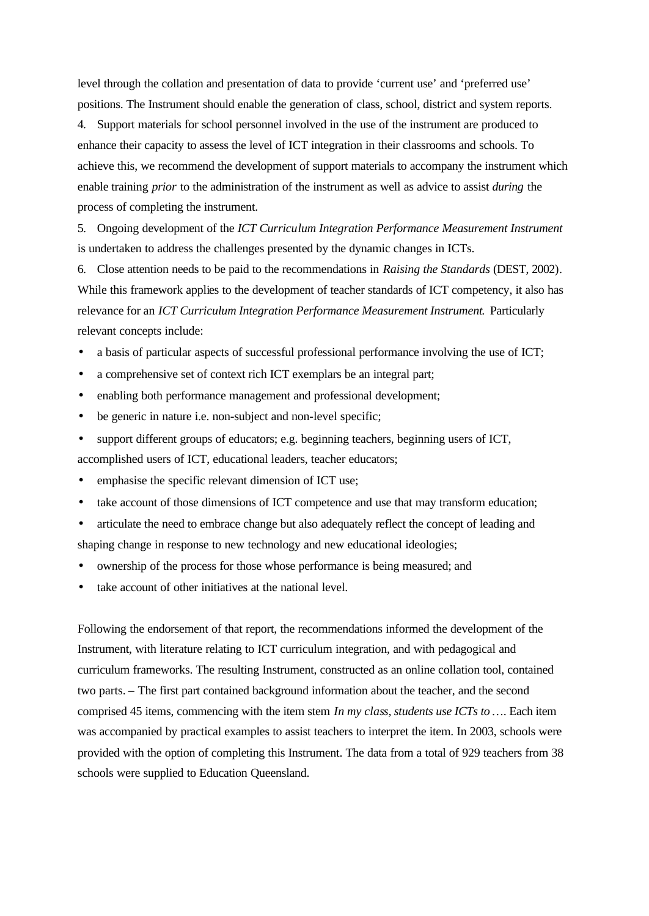level through the collation and presentation of data to provide 'current use' and 'preferred use' positions. The Instrument should enable the generation of class, school, district and system reports.

4. Support materials for school personnel involved in the use of the instrument are produced to enhance their capacity to assess the level of ICT integration in their classrooms and schools. To achieve this, we recommend the development of support materials to accompany the instrument which enable training *prior* to the administration of the instrument as well as advice to assist *during* the process of completing the instrument.

5. Ongoing development of the *ICT Curriculum Integration Performance Measurement Instrument* is undertaken to address the challenges presented by the dynamic changes in ICTs.

6. Close attention needs to be paid to the recommendations in *Raising the Standards* (DEST, 2002). While this framework applies to the development of teacher standards of ICT competency, it also has relevance for an *ICT Curriculum Integration Performance Measurement Instrument*. Particularly relevant concepts include:

- a basis of particular aspects of successful professional performance involving the use of ICT;
- a comprehensive set of context rich ICT exemplars be an integral part;
- enabling both performance management and professional development;
- be generic in nature i.e. non-subject and non-level specific;
- support different groups of educators; e.g. beginning teachers, beginning users of ICT, accomplished users of ICT, educational leaders, teacher educators;
- emphasise the specific relevant dimension of ICT use;
- take account of those dimensions of ICT competence and use that may transform education;
- articulate the need to embrace change but also adequately reflect the concept of leading and shaping change in response to new technology and new educational ideologies;
- ownership of the process for those whose performance is being measured; and
- take account of other initiatives at the national level.

Following the endorsement of that report, the recommendations informed the development of the Instrument, with literature relating to ICT curriculum integration, and with pedagogical and curriculum frameworks. The resulting Instrument, constructed as an online collation tool, contained two parts. – The first part contained background information about the teacher, and the second comprised 45 items, commencing with the item stem *In my class, students use ICTs to*…. Each item was accompanied by practical examples to assist teachers to interpret the item. In 2003, schools were provided with the option of completing this Instrument. The data from a total of 929 teachers from 38 schools were supplied to Education Queensland.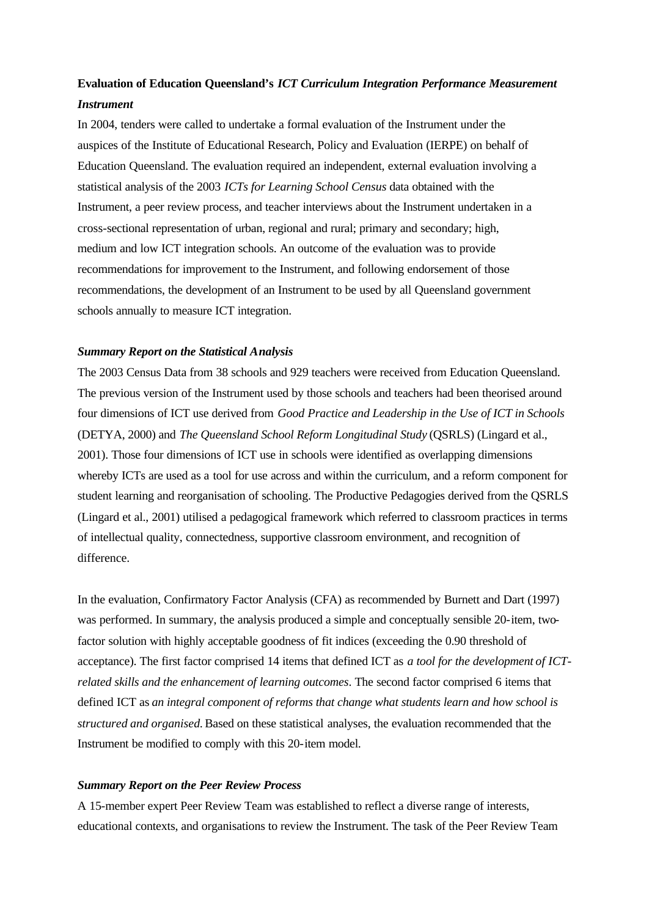## **Evaluation of Education Queensland's** *ICT Curriculum Integration Performance Measurement Instrument*

In 2004, tenders were called to undertake a formal evaluation of the Instrument under the auspices of the Institute of Educational Research, Policy and Evaluation (IERPE) on behalf of Education Queensland. The evaluation required an independent, external evaluation involving a statistical analysis of the 2003 *ICTs for Learning School Census* data obtained with the Instrument, a peer review process, and teacher interviews about the Instrument undertaken in a cross-sectional representation of urban, regional and rural; primary and secondary; high, medium and low ICT integration schools. An outcome of the evaluation was to provide recommendations for improvement to the Instrument, and following endorsement of those recommendations, the development of an Instrument to be used by all Queensland government schools annually to measure ICT integration.

## *Summary Report on the Statistical Analysis*

The 2003 Census Data from 38 schools and 929 teachers were received from Education Queensland. The previous version of the Instrument used by those schools and teachers had been theorised around four dimensions of ICT use derived from *Good Practice and Leadership in the Use of ICT in Schools*  (DETYA, 2000) and *The Queensland School Reform Longitudinal Study* (QSRLS) (Lingard et al., 2001). Those four dimensions of ICT use in schools were identified as overlapping dimensions whereby ICTs are used as a tool for use across and within the curriculum, and a reform component for student learning and reorganisation of schooling. The Productive Pedagogies derived from the QSRLS (Lingard et al., 2001) utilised a pedagogical framework which referred to classroom practices in terms of intellectual quality, connectedness, supportive classroom environment, and recognition of difference.

In the evaluation, Confirmatory Factor Analysis (CFA) as recommended by Burnett and Dart (1997) was performed. In summary, the analysis produced a simple and conceptually sensible 20-item, twofactor solution with highly acceptable goodness of fit indices (exceeding the 0.90 threshold of acceptance). The first factor comprised 14 items that defined ICT as *a tool for the development of ICTrelated skills and the enhancement of learning outcomes*. The second factor comprised 6 items that defined ICT as *an integral component of reforms that change what students learn and how school is structured and organised.* Based on these statistical analyses, the evaluation recommended that the Instrument be modified to comply with this 20-item model.

#### *Summary Report on the Peer Review Process*

A 15-member expert Peer Review Team was established to reflect a diverse range of interests, educational contexts, and organisations to review the Instrument. The task of the Peer Review Team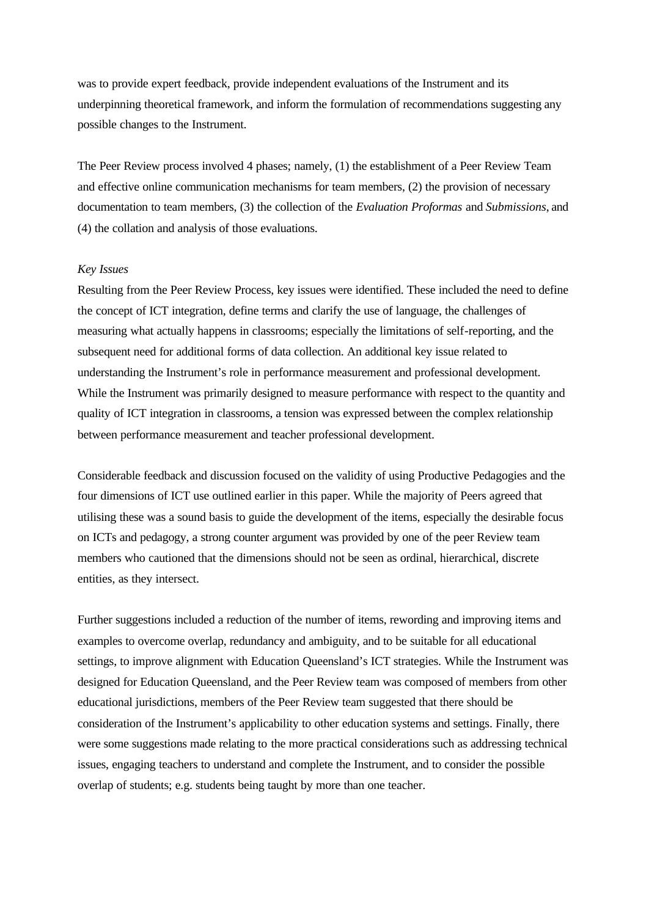was to provide expert feedback, provide independent evaluations of the Instrument and its underpinning theoretical framework, and inform the formulation of recommendations suggesting any possible changes to the Instrument.

The Peer Review process involved 4 phases; namely, (1) the establishment of a Peer Review Team and effective online communication mechanisms for team members, (2) the provision of necessary documentation to team members, (3) the collection of the *Evaluation Proformas* and *Submissions*, and (4) the collation and analysis of those evaluations.

## *Key Issues*

Resulting from the Peer Review Process, key issues were identified. These included the need to define the concept of ICT integration, define terms and clarify the use of language, the challenges of measuring what actually happens in classrooms; especially the limitations of self-reporting, and the subsequent need for additional forms of data collection. An additional key issue related to understanding the Instrument's role in performance measurement and professional development. While the Instrument was primarily designed to measure performance with respect to the quantity and quality of ICT integration in classrooms, a tension was expressed between the complex relationship between performance measurement and teacher professional development.

Considerable feedback and discussion focused on the validity of using Productive Pedagogies and the four dimensions of ICT use outlined earlier in this paper. While the majority of Peers agreed that utilising these was a sound basis to guide the development of the items, especially the desirable focus on ICTs and pedagogy, a strong counter argument was provided by one of the peer Review team members who cautioned that the dimensions should not be seen as ordinal, hierarchical, discrete entities, as they intersect.

Further suggestions included a reduction of the number of items, rewording and improving items and examples to overcome overlap, redundancy and ambiguity, and to be suitable for all educational settings, to improve alignment with Education Queensland's ICT strategies. While the Instrument was designed for Education Queensland, and the Peer Review team was composed of members from other educational jurisdictions, members of the Peer Review team suggested that there should be consideration of the Instrument's applicability to other education systems and settings. Finally, there were some suggestions made relating to the more practical considerations such as addressing technical issues, engaging teachers to understand and complete the Instrument, and to consider the possible overlap of students; e.g. students being taught by more than one teacher.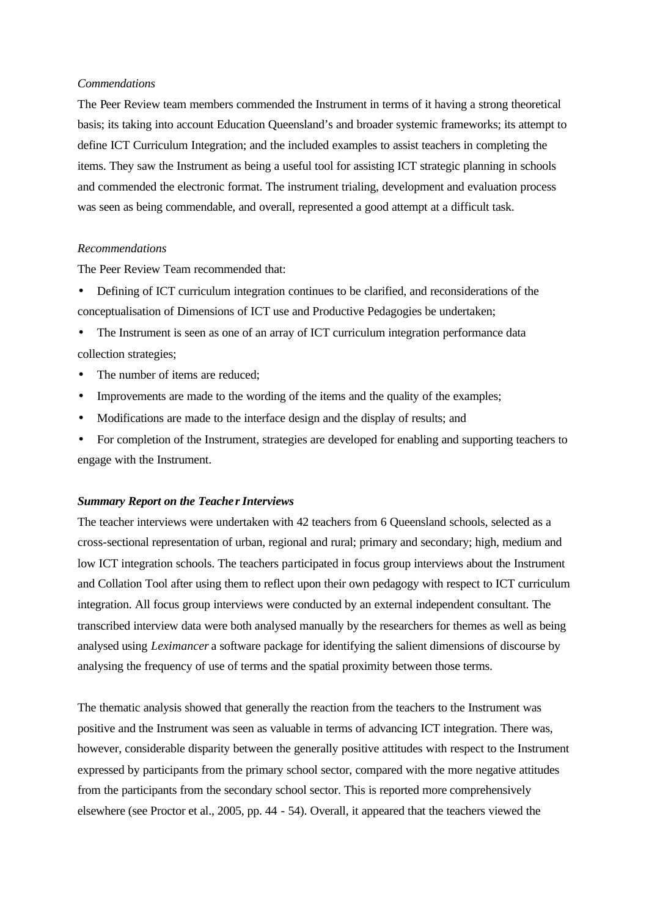## *Commendations*

The Peer Review team members commended the Instrument in terms of it having a strong theoretical basis; its taking into account Education Queensland's and broader systemic frameworks; its attempt to define ICT Curriculum Integration; and the included examples to assist teachers in completing the items. They saw the Instrument as being a useful tool for assisting ICT strategic planning in schools and commended the electronic format. The instrument trialing, development and evaluation process was seen as being commendable, and overall, represented a good attempt at a difficult task.

## *Recommendations*

The Peer Review Team recommended that:

- Defining of ICT curriculum integration continues to be clarified, and reconsiderations of the conceptualisation of Dimensions of ICT use and Productive Pedagogies be undertaken;
- The Instrument is seen as one of an array of ICT curriculum integration performance data collection strategies;
- The number of items are reduced;
- Improvements are made to the wording of the items and the quality of the examples;
- Modifications are made to the interface design and the display of results; and
- For completion of the Instrument, strategies are developed for enabling and supporting teachers to engage with the Instrument.

#### *Summary Report on the Teache r Interviews*

The teacher interviews were undertaken with 42 teachers from 6 Queensland schools, selected as a cross-sectional representation of urban, regional and rural; primary and secondary; high, medium and low ICT integration schools. The teachers participated in focus group interviews about the Instrument and Collation Tool after using them to reflect upon their own pedagogy with respect to ICT curriculum integration. All focus group interviews were conducted by an external independent consultant. The transcribed interview data were both analysed manually by the researchers for themes as well as being analysed using *Leximancer* a software package for identifying the salient dimensions of discourse by analysing the frequency of use of terms and the spatial proximity between those terms.

The thematic analysis showed that generally the reaction from the teachers to the Instrument was positive and the Instrument was seen as valuable in terms of advancing ICT integration. There was, however, considerable disparity between the generally positive attitudes with respect to the Instrument expressed by participants from the primary school sector, compared with the more negative attitudes from the participants from the secondary school sector. This is reported more comprehensively elsewhere (see Proctor et al., 2005, pp. 44 - 54). Overall, it appeared that the teachers viewed the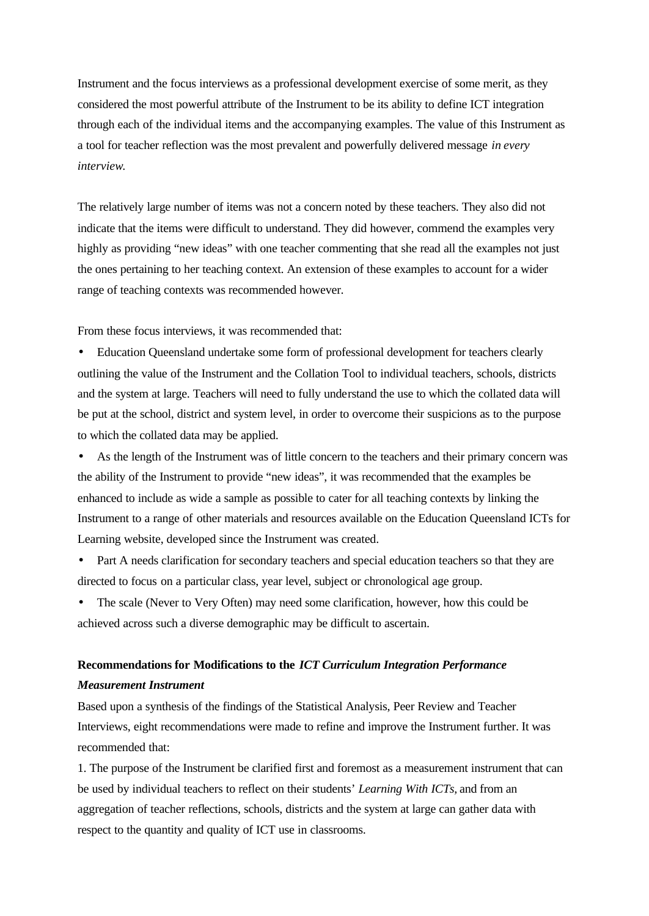Instrument and the focus interviews as a professional development exercise of some merit, as they considered the most powerful attribute of the Instrument to be its ability to define ICT integration through each of the individual items and the accompanying examples. The value of this Instrument as a tool for teacher reflection was the most prevalent and powerfully delivered message *in every interview*.

The relatively large number of items was not a concern noted by these teachers. They also did not indicate that the items were difficult to understand. They did however, commend the examples very highly as providing "new ideas" with one teacher commenting that she read all the examples not just the ones pertaining to her teaching context. An extension of these examples to account for a wider range of teaching contexts was recommended however.

From these focus interviews, it was recommended that:

• Education Queensland undertake some form of professional development for teachers clearly outlining the value of the Instrument and the Collation Tool to individual teachers, schools, districts and the system at large. Teachers will need to fully understand the use to which the collated data will be put at the school, district and system level, in order to overcome their suspicions as to the purpose to which the collated data may be applied.

As the length of the Instrument was of little concern to the teachers and their primary concern was the ability of the Instrument to provide "new ideas", it was recommended that the examples be enhanced to include as wide a sample as possible to cater for all teaching contexts by linking the Instrument to a range of other materials and resources available on the Education Queensland ICTs for Learning website, developed since the Instrument was created.

• Part A needs clarification for secondary teachers and special education teachers so that they are directed to focus on a particular class, year level, subject or chronological age group.

• The scale (Never to Very Often) may need some clarification, however, how this could be achieved across such a diverse demographic may be difficult to ascertain.

## **Recommendations for Modifications to the** *ICT Curriculum Integration Performance Measurement Instrument*

Based upon a synthesis of the findings of the Statistical Analysis, Peer Review and Teacher Interviews, eight recommendations were made to refine and improve the Instrument further. It was recommended that:

1. The purpose of the Instrument be clarified first and foremost as a measurement instrument that can be used by individual teachers to reflect on their students' *Learning With ICTs,* and from an aggregation of teacher reflections, schools, districts and the system at large can gather data with respect to the quantity and quality of ICT use in classrooms.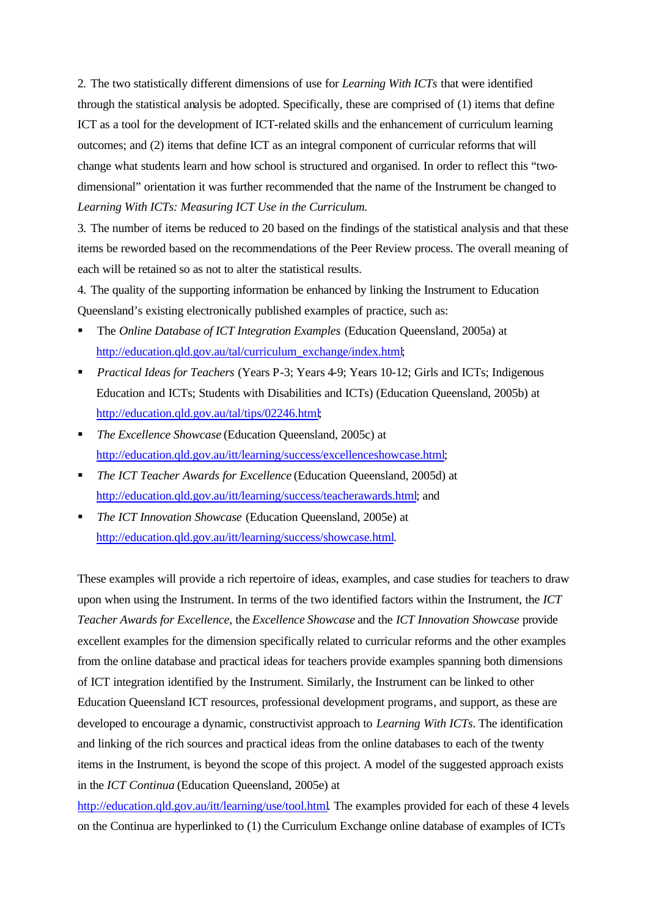2. The two statistically different dimensions of use for *Learning With ICTs* that were identified through the statistical analysis be adopted. Specifically, these are comprised of (1) items that define ICT as a tool for the development of ICT-related skills and the enhancement of curriculum learning outcomes; and (2) items that define ICT as an integral component of curricular reforms that will change what students learn and how school is structured and organised. In order to reflect this "twodimensional" orientation it was further recommended that the name of the Instrument be changed to *Learning With ICTs: Measuring ICT Use in the Curriculum.*

3. The number of items be reduced to 20 based on the findings of the statistical analysis and that these items be reworded based on the recommendations of the Peer Review process. The overall meaning of each will be retained so as not to alter the statistical results.

4. The quality of the supporting information be enhanced by linking the Instrument to Education Queensland's existing electronically published examples of practice, such as:

- **The Online Database of ICT Integration Examples** (Education Queensland, 2005a) at http://education.qld.gov.au/tal/curriculum\_exchange/index.html;
- **Practical Ideas for Teachers (Years P-3; Years 4-9; Years 10-12; Girls and ICTs; Indigenous** Education and ICTs; Students with Disabilities and ICTs) (Education Queensland, 2005b) at http://education.qld.gov.au/tal/tips/02246.html;
- *The Excellence Showcase* (Education Queensland, 2005c) at http://education.qld.gov.au/itt/learning/success/excellenceshowcase.html;
- **The ICT Teacher Awards for Excellence (Education Queensland, 2005d) at** http://education.qld.gov.au/itt/learning/success/teacherawards.html; and
- ß *The ICT Innovation Showcase* (Education Queensland, 2005e) at http://education.qld.gov.au/itt/learning/success/showcase.html.

These examples will provide a rich repertoire of ideas, examples, and case studies for teachers to draw upon when using the Instrument. In terms of the two identified factors within the Instrument, the *ICT Teacher Awards for Excellence*, the *Excellence Showcase* and the *ICT Innovation Showcase* provide excellent examples for the dimension specifically related to curricular reforms and the other examples from the online database and practical ideas for teachers provide examples spanning both dimensions of ICT integration identified by the Instrument. Similarly, the Instrument can be linked to other Education Queensland ICT resources, professional development programs, and support, as these are developed to encourage a dynamic, constructivist approach to *Learning With ICTs*. The identification and linking of the rich sources and practical ideas from the online databases to each of the twenty items in the Instrument, is beyond the scope of this project. A model of the suggested approach exists in the *ICT Continua* (Education Queensland, 2005e) at

http://education.qld.gov.au/itt/learning/use/tool.html. The examples provided for each of these 4 levels on the Continua are hyperlinked to (1) the Curriculum Exchange online database of examples of ICTs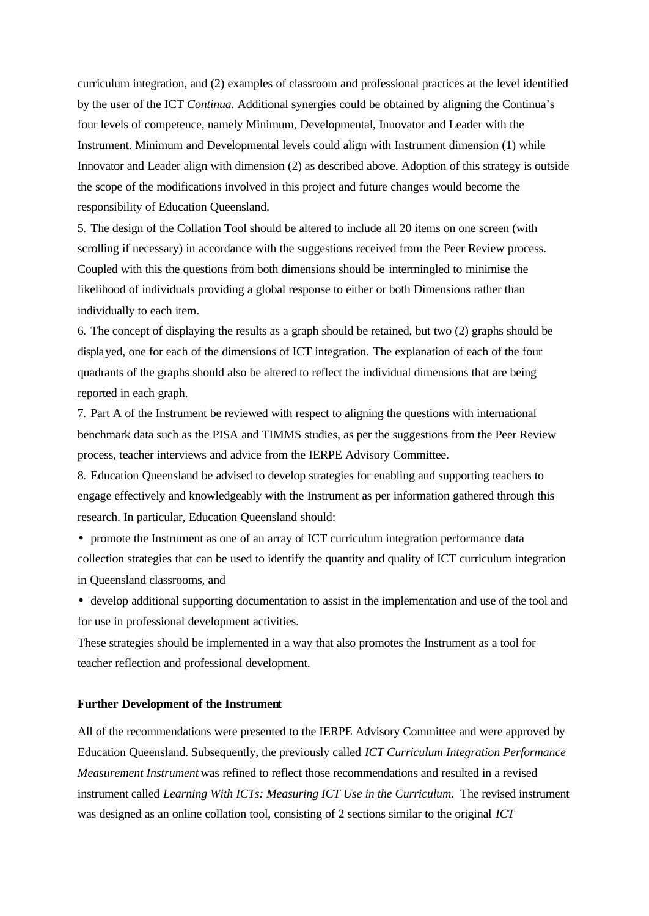curriculum integration, and (2) examples of classroom and professional practices at the level identified by the user of the ICT *Continua.* Additional synergies could be obtained by aligning the Continua's four levels of competence, namely Minimum, Developmental, Innovator and Leader with the Instrument. Minimum and Developmental levels could align with Instrument dimension (1) while Innovator and Leader align with dimension (2) as described above. Adoption of this strategy is outside the scope of the modifications involved in this project and future changes would become the responsibility of Education Queensland.

5. The design of the Collation Tool should be altered to include all 20 items on one screen (with scrolling if necessary) in accordance with the suggestions received from the Peer Review process. Coupled with this the questions from both dimensions should be intermingled to minimise the likelihood of individuals providing a global response to either or both Dimensions rather than individually to each item.

6. The concept of displaying the results as a graph should be retained, but two (2) graphs should be displayed, one for each of the dimensions of ICT integration. The explanation of each of the four quadrants of the graphs should also be altered to reflect the individual dimensions that are being reported in each graph.

7. Part A of the Instrument be reviewed with respect to aligning the questions with international benchmark data such as the PISA and TIMMS studies, as per the suggestions from the Peer Review process, teacher interviews and advice from the IERPE Advisory Committee.

8. Education Queensland be advised to develop strategies for enabling and supporting teachers to engage effectively and knowledgeably with the Instrument as per information gathered through this research. In particular, Education Queensland should:

• promote the Instrument as one of an array of ICT curriculum integration performance data collection strategies that can be used to identify the quantity and quality of ICT curriculum integration in Queensland classrooms, and

• develop additional supporting documentation to assist in the implementation and use of the tool and for use in professional development activities.

These strategies should be implemented in a way that also promotes the Instrument as a tool for teacher reflection and professional development.

#### **Further Development of the Instrument**

All of the recommendations were presented to the IERPE Advisory Committee and were approved by Education Queensland. Subsequently, the previously called *ICT Curriculum Integration Performance Measurement Instrument* was refined to reflect those recommendations and resulted in a revised instrument called *Learning With ICTs: Measuring ICT Use in the Curriculum*. The revised instrument was designed as an online collation tool, consisting of 2 sections similar to the original *ICT*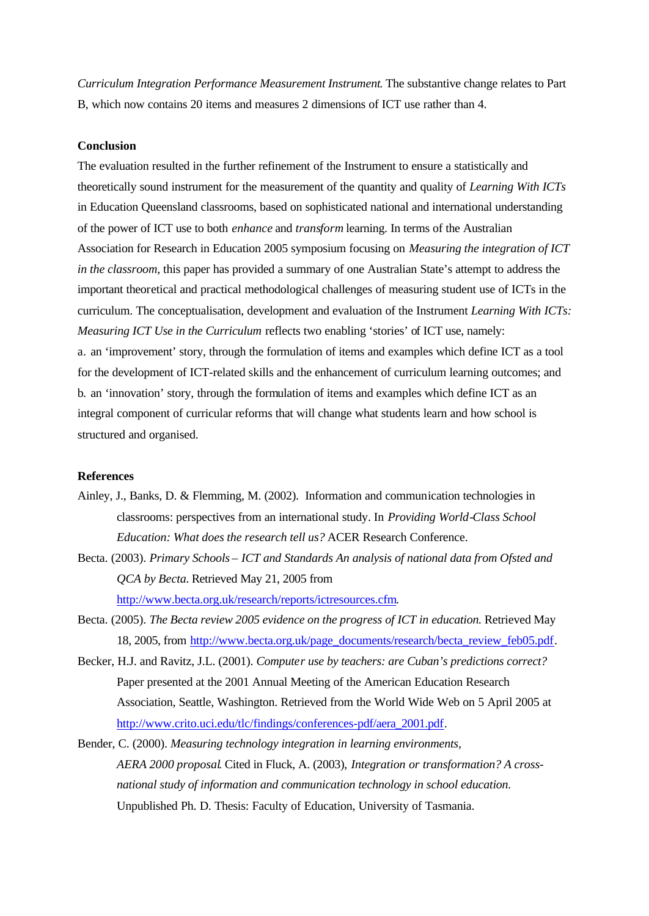*Curriculum Integration Performance Measurement Instrument*. The substantive change relates to Part B, which now contains 20 items and measures 2 dimensions of ICT use rather than 4.

#### **Conclusion**

The evaluation resulted in the further refinement of the Instrument to ensure a statistically and theoretically sound instrument for the measurement of the quantity and quality of *Learning With ICTs* in Education Queensland classrooms, based on sophisticated national and international understanding of the power of ICT use to both *enhance* and *transform* learning. In terms of the Australian Association for Research in Education 2005 symposium focusing on *Measuring the integration of ICT in the classroom,* this paper has provided a summary of one Australian State's attempt to address the important theoretical and practical methodological challenges of measuring student use of ICTs in the curriculum. The conceptualisation, development and evaluation of the Instrument *Learning With ICTs: Measuring ICT Use in the Curriculum* reflects two enabling 'stories' of ICT use, namely: a. an 'improvement' story, through the formulation of items and examples which define ICT as a tool for the development of ICT-related skills and the enhancement of curriculum learning outcomes; and b. an 'innovation' story, through the formulation of items and examples which define ICT as an integral component of curricular reforms that will change what students learn and how school is structured and organised.

### **References**

- Ainley, J., Banks, D. & Flemming, M. (2002). Information and communication technologies in classrooms: perspectives from an international study. In *Providing World-Class School Education: What does the research tell us?* ACER Research Conference.
- Becta. (2003). *Primary Schools ICT and Standards An analysis of national data from Ofsted and QCA by Becta.* Retrieved May 21, 2005 from

http://www.becta.org.uk/research/reports/ictresources.cfm.

- Becta. (2005). *The Becta review 2005 evidence on the progress of ICT in education.* Retrieved May 18, 2005, from http://www.becta.org.uk/page\_documents/research/becta\_review\_feb05.pdf.
- Becker, H.J. and Ravitz, J.L. (2001). *Computer use by teachers: are Cuban's predictions correct?* Paper presented at the 2001 Annual Meeting of the American Education Research Association, Seattle, Washington. Retrieved from the World Wide Web on 5 April 2005 at http://www.crito.uci.edu/tlc/findings/conferences-pdf/aera\_2001.pdf.
- Bender, C. (2000). *Measuring technology integration in learning environments, AERA 2000 proposal*. Cited in Fluck, A. (2003), *Integration or transformation? A crossnational study of information and communication technology in school education.* Unpublished Ph. D. Thesis: Faculty of Education, University of Tasmania.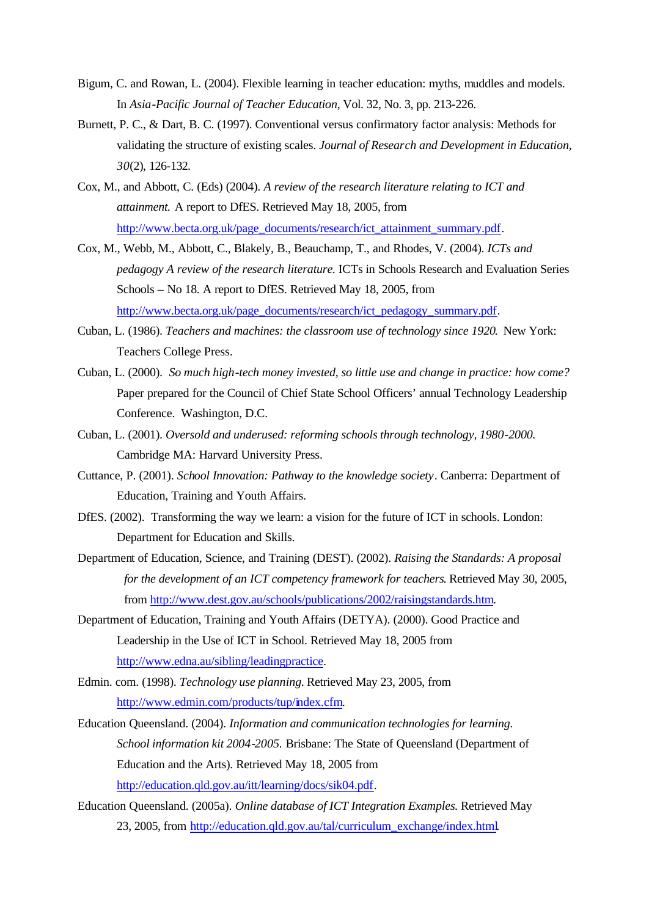- Bigum, C. and Rowan, L. (2004). Flexible learning in teacher education: myths, muddles and models. In *Asia-Pacific Journal of Teacher Education*, Vol. 32, No. 3, pp. 213-226.
- Burnett, P. C., & Dart, B. C. (1997). Conventional versus confirmatory factor analysis: Methods for validating the structure of existing scales. *Journal of Research and Development in Education, 30*(2), 126-132.
- Cox, M., and Abbott, C. (Eds) (2004). *A review of the research literature relating to ICT and attainment.* A report to DfES. Retrieved May 18, 2005, from http://www.becta.org.uk/page\_documents/research/ict\_attainment\_summary.pdf.
- Cox, M., Webb, M., Abbott, C., Blakely, B., Beauchamp, T., and Rhodes, V. (2004). *ICTs and pedagogy A review of the research literature.* ICTs in Schools Research and Evaluation Series Schools – No 18. A report to DfES. Retrieved May 18, 2005, from http://www.becta.org.uk/page\_documents/research/ict\_pedagogy\_summary.pdf.
- Cuban, L. (1986). *Teachers and machines: the classroom use of technology since 1920*. New York: Teachers College Press.
- Cuban, L. (2000). *So much high-tech money invested, so little use and change in practice: how come?*  Paper prepared for the Council of Chief State School Officers' annual Technology Leadership Conference. Washington, D.C.
- Cuban, L. (2001). *Oversold and underused: reforming schools through technology, 1980-2000.*  Cambridge MA: Harvard University Press.
- Cuttance, P. (2001). *School Innovation: Pathway to the knowledge society*. Canberra: Department of Education, Training and Youth Affairs.
- DfES. (2002). Transforming the way we learn: a vision for the future of ICT in schools. London: Department for Education and Skills.
- Department of Education, Science, and Training (DEST). (2002). *Raising the Standards: A proposal for the development of an ICT competency framework for teachers*. Retrieved May 30, 2005, from http://www.dest.gov.au/schools/publications/2002/raisingstandards.htm.
- Department of Education, Training and Youth Affairs (DETYA). (2000). Good Practice and Leadership in the Use of ICT in School. Retrieved May 18, 2005 from http://www.edna.au/sibling/leadingpractice.
- Edmin. com. (1998). *Technology use planning.* Retrieved May 23, 2005, from http://www.edmin.com/products/tup/index.cfm.
- Education Queensland. (2004). *Information and communication technologies for learning. School information kit 2004-2005.* Brisbane: The State of Queensland (Department of Education and the Arts). Retrieved May 18, 2005 from http://education.qld.gov.au/itt/learning/docs/sik04.pdf.
- Education Queensland. (2005a). *Online database of ICT Integration Examples.* Retrieved May 23, 2005, from http://education.qld.gov.au/tal/curriculum\_exchange/index.html.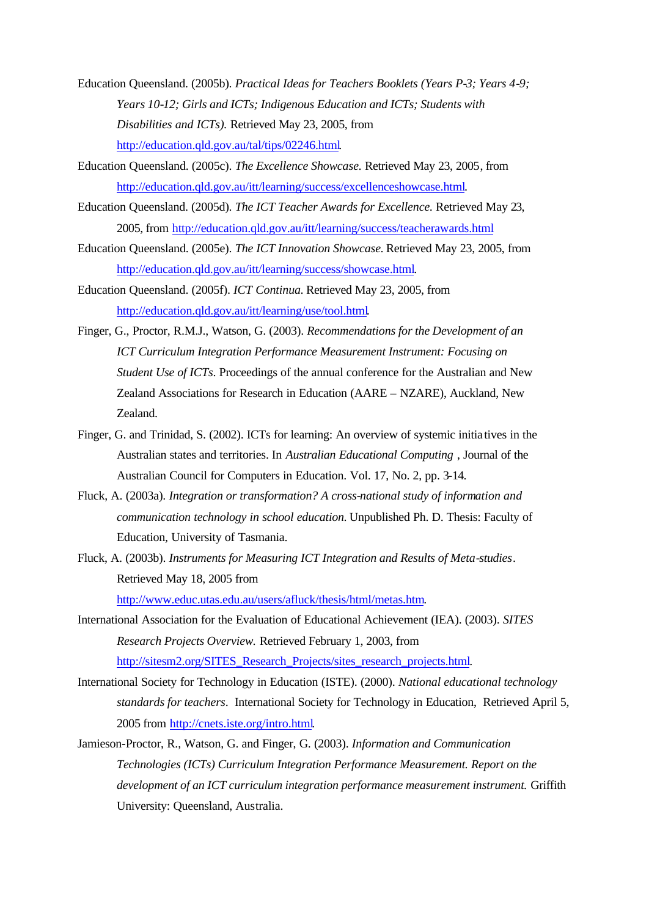- Education Queensland. (2005b). *Practical Ideas for Teachers Booklets (Years P-3; Years 4-9; Years 10-12; Girls and ICTs; Indigenous Education and ICTs; Students with Disabilities and ICTs).* Retrieved May 23, 2005, from http://education.qld.gov.au/tal/tips/02246.html.
- Education Queensland. (2005c). *The Excellence Showcase.* Retrieved May 23, 2005, from http://education.qld.gov.au/itt/learning/success/excellenceshowcase.html.
- Education Queensland. (2005d). *The ICT Teacher Awards for Excellence.* Retrieved May 23, 2005, from http://education.qld.gov.au/itt/learning/success/teacherawards.html
- Education Queensland. (2005e). *The ICT Innovation Showcase.* Retrieved May 23, 2005, from http://education.qld.gov.au/itt/learning/success/showcase.html.
- Education Queensland. (2005f). *ICT Continua.* Retrieved May 23, 2005, from http://education.qld.gov.au/itt/learning/use/tool.html.
- Finger, G., Proctor, R.M.J., Watson, G. (2003). *Recommendations for the Development of an ICT Curriculum Integration Performance Measurement Instrument: Focusing on Student Use of ICTs*. Proceedings of the annual conference for the Australian and New Zealand Associations for Research in Education (AARE – NZARE), Auckland, New Zealand.
- Finger, G. and Trinidad, S. (2002). ICTs for learning: An overview of systemic initia tives in the Australian states and territories. In *Australian Educational Computing* , Journal of the Australian Council for Computers in Education. Vol. 17, No. 2, pp. 3-14.
- Fluck, A. (2003a). *Integration or transformation? A cross-national study of information and communication technology in school education.* Unpublished Ph. D. Thesis: Faculty of Education, University of Tasmania.
- Fluck, A. (2003b). *Instruments for Measuring ICT Integration and Results of Meta-studies*. Retrieved May 18, 2005 from

http://www.educ.utas.edu.au/users/afluck/thesis/html/metas.htm.

- International Association for the Evaluation of Educational Achievement (IEA). (2003). *SITES Research Projects Overview.* Retrieved February 1, 2003, from http://sitesm2.org/SITES\_Research\_Projects/sites\_research\_projects.html.
- International Society for Technology in Education (ISTE). (2000). *National educational technology standards for teachers*. International Society for Technology in Education, Retrieved April 5, 2005 from http://cnets.iste.org/intro.html.
- Jamieson-Proctor, R., Watson, G. and Finger, G. (2003). *Information and Communication Technologies (ICTs) Curriculum Integration Performance Measurement. Report on the development of an ICT curriculum integration performance measurement instrument.* Griffith University: Queensland, Australia.